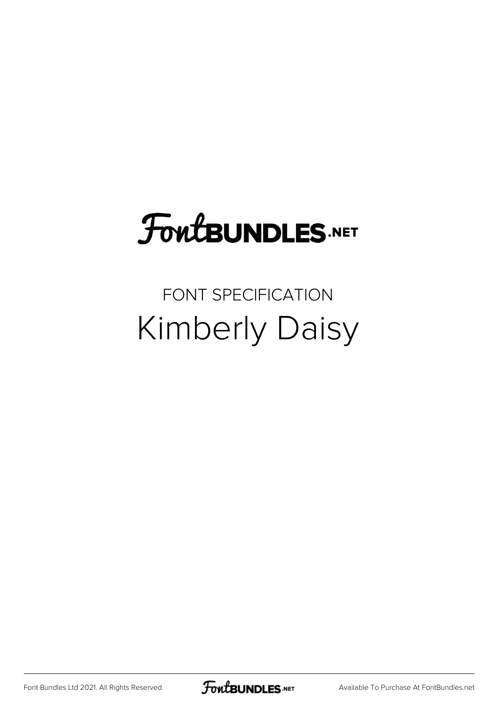## **FoutBUNDLES.NET**

## FONT SPECIFICATION Kimberly Daisy

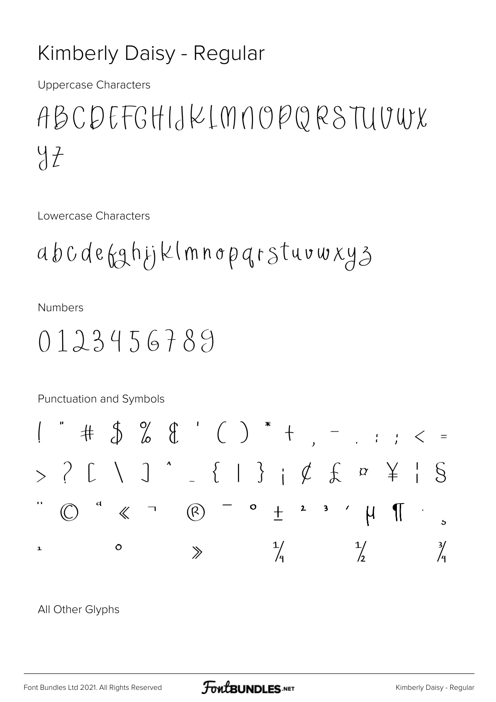## Kimberly Daisy - Regular

**Uppercase Characters** 

ABCDEFGHIJKLMNOPQRSTUUWX  $47$ 

Lowercase Characters

abcdefghijklmnoparstuvwxyz

**Numbers** 

## $0123456789$

Punctuation and Symbols  $\# \ \ \mathcal{S} \ \ \mathcal{C} \ \ \mathcal{C} \ \ \mathcal{C} \ \ \mathcal{C} \ \ \mathcal{C} \ \ \mathcal{C} \ \ \mathcal{C} \ \ \mathcal{C} \ \ \mathcal{C} \ \ \mathcal{C} \ \ \mathcal{C} \ \ \mathcal{C} \ \ \mathcal{C} \ \ \mathcal{C} \ \ \mathcal{C} \ \ \mathcal{C} \ \ \mathcal{C} \ \ \mathcal{C} \ \ \mathcal{C} \ \ \mathcal{C} \ \ \mathcal{C} \ \ \mathcal{C} \ \ \mathcal{C} \ \ \mathcal{C} \ \ \mathcal{C} \ \ \mathcal{C} \ \$  $> ? C \cup 1 ' - { | }' \} i \notin 1 ' s$  $\bigcirc$   $\qquad \circ$   $\qquad \circ$   $\qquad \circ$   $\qquad \circ$   $\qquad \circ$   $\qquad \circ$   $\qquad \circ$   $\qquad \circ$   $\qquad \circ$   $\qquad \circ$   $\qquad \circ$   $\qquad \circ$   $\qquad \circ$   $\qquad \circ$   $\qquad \circ$   $\qquad \circ$   $\qquad \circ$   $\qquad \circ$   $\qquad \circ$   $\qquad \circ$   $\qquad \circ$   $\qquad \circ$   $\qquad \circ$   $\qquad \circ$   $\qquad \circ$   $\qquad \circ$   $\qquad \circ$  $\frac{1}{2}$  $\frac{1}{4}$  $\frac{3}{4}$  $\circ$  $\mathbf{1}$  $\gg$ 

All Other Glyphs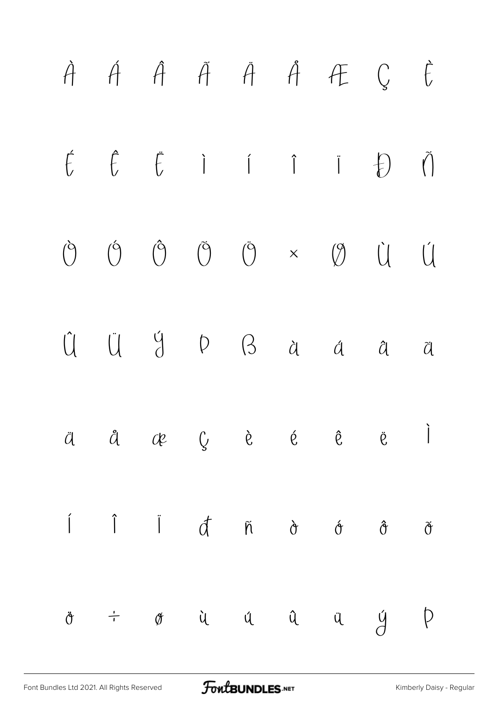